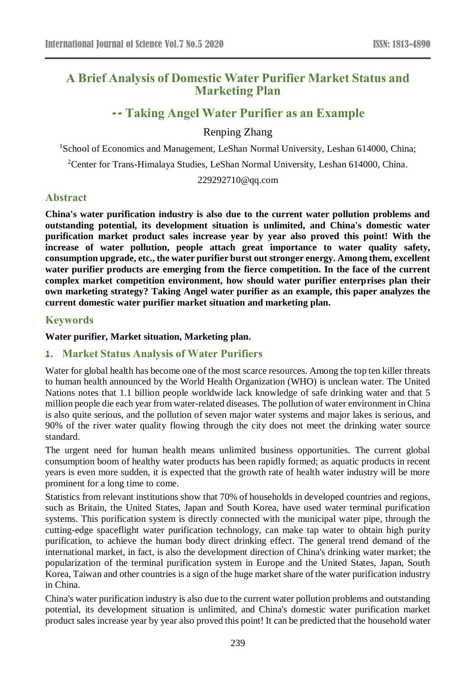# **A Brief Analysis of Domestic Water Purifier Market Status and Marketing Plan**

# **-- Taking Angel Water Purifier as an Example**

# Renping Zhang

<sup>1</sup>School of Economics and Management, LeShan Normal University, Leshan 614000, China;

<sup>2</sup>Center for Trans-Himalaya Studies, LeShan Normal University, Leshan 614000, China.

229292710@qq.com

# **Abstract**

**China's water purification industry is also due to the current water pollution problems and outstanding potential, its development situation is unlimited, and China's domestic water purification market product sales increase year by year also proved this point! With the increase of water pollution, people attach great importance to water quality safety, consumption upgrade, etc., the water purifier burst out stronger energy. Among them, excellent water purifier products are emerging from the fierce competition. In the face of the current complex market competition environment, how should water purifier enterprises plan their own marketing strategy? Taking Angel water purifier as an example, this paper analyzes the current domestic water purifier market situation and marketing plan.**

#### **Keywords**

**Water purifier, Market situation, Marketing plan.**

# **1. Market Status Analysis of Water Purifiers**

Water for global health has become one of the most scarce resources. Among the top ten killer threats to human health announced by the World Health Organization (WHO) is unclean water. The United Nations notes that 1.1 billion people worldwide lack knowledge of safe drinking water and that 5 million people die each year from water-related diseases. The pollution of water environment in China is also quite serious, and the pollution of seven major water systems and major lakes is serious, and 90% of the river water quality flowing through the city does not meet the drinking water source standard.

The urgent need for human health means unlimited business opportunities. The current global consumption boom of healthy water products has been rapidly formed; as aquatic products in recent years is even more sudden, it is expected that the growth rate of health water industry will be more prominent for a long time to come.

Statistics from relevant institutions show that 70% of households in developed countries and regions, such as Britain, the United States, Japan and South Korea, have used water terminal purification systems. This purification system is directly connected with the municipal water pipe, through the cutting-edge spaceflight water purification technology, can make tap water to obtain high purity purification, to achieve the human body direct drinking effect. The general trend demand of the international market, in fact, is also the development direction of China's drinking water market; the popularization of the terminal purification system in Europe and the United States, Japan, South Korea, Taiwan and other countries is a sign of the huge market share of the water purification industry in China.

China's water purification industry is also due to the current water pollution problems and outstanding potential, its development situation is unlimited, and China's domestic water purification market product sales increase year by year also proved this point! It can be predicted that the household water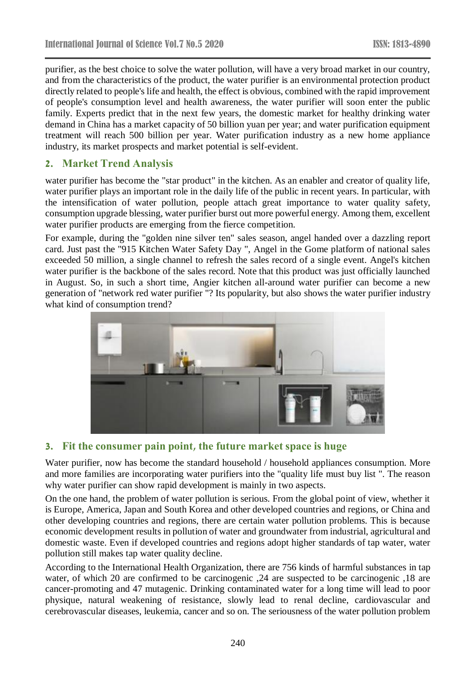purifier, as the best choice to solve the water pollution, will have a very broad market in our country, and from the characteristics of the product, the water purifier is an environmental protection product directly related to people's life and health, the effect is obvious, combined with the rapid improvement of people's consumption level and health awareness, the water purifier will soon enter the public family. Experts predict that in the next few years, the domestic market for healthy drinking water demand in China has a market capacity of 50 billion yuan per year; and water purification equipment treatment will reach 500 billion per year. Water purification industry as a new home appliance industry, its market prospects and market potential is self-evident.

#### **2. Market Trend Analysis**

water purifier has become the "star product" in the kitchen. As an enabler and creator of quality life, water purifier plays an important role in the daily life of the public in recent years. In particular, with the intensification of water pollution, people attach great importance to water quality safety, consumption upgrade blessing, water purifier burst out more powerful energy. Among them, excellent water purifier products are emerging from the fierce competition.

For example, during the "golden nine silver ten" sales season, angel handed over a dazzling report card. Just past the "915 Kitchen Water Safety Day ", Angel in the Gome platform of national sales exceeded 50 million, a single channel to refresh the sales record of a single event. Angel's kitchen water purifier is the backbone of the sales record. Note that this product was just officially launched in August. So, in such a short time, Angier kitchen all-around water purifier can become a new generation of "network red water purifier "? Its popularity, but also shows the water purifier industry what kind of consumption trend?



# **3. Fit the consumer pain point, the future market space is huge**

Water purifier, now has become the standard household / household appliances consumption. More and more families are incorporating water purifiers into the "quality life must buy list ". The reason why water purifier can show rapid development is mainly in two aspects.

On the one hand, the problem of water pollution is serious. From the global point of view, whether it is Europe, America, Japan and South Korea and other developed countries and regions, or China and other developing countries and regions, there are certain water pollution problems. This is because economic development results in pollution of water and groundwater from industrial, agricultural and domestic waste. Even if developed countries and regions adopt higher standards of tap water, water pollution still makes tap water quality decline.

According to the International Health Organization, there are 756 kinds of harmful substances in tap water, of which 20 are confirmed to be carcinogenic ,24 are suspected to be carcinogenic ,18 are cancer-promoting and 47 mutagenic. Drinking contaminated water for a long time will lead to poor physique, natural weakening of resistance, slowly lead to renal decline, cardiovascular and cerebrovascular diseases, leukemia, cancer and so on. The seriousness of the water pollution problem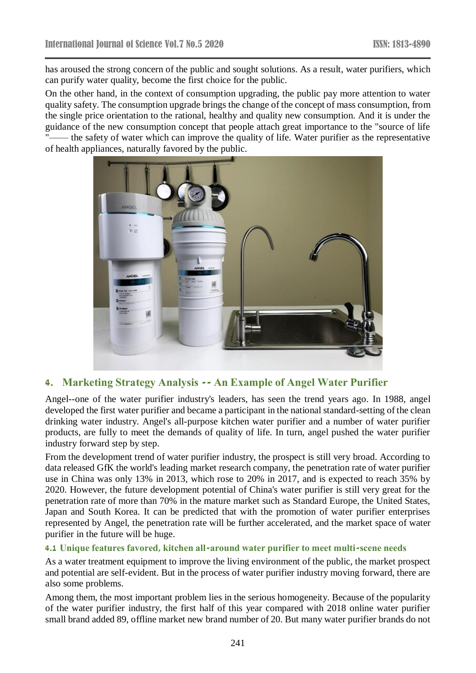has aroused the strong concern of the public and sought solutions. As a result, water purifiers, which can purify water quality, become the first choice for the public.

On the other hand, in the context of consumption upgrading, the public pay more attention to water quality safety. The consumption upgrade brings the change of the concept of mass consumption, from the single price orientation to the rational, healthy and quality new consumption. And it is under the guidance of the new consumption concept that people attach great importance to the "source of life  $-$  the safety of water which can improve the quality of life. Water purifier as the representative of health appliances, naturally favored by the public.



# **4. Marketing Strategy Analysis -- An Example of Angel Water Purifier**

Angel--one of the water purifier industry's leaders, has seen the trend years ago. In 1988, angel developed the first water purifier and became a participant in the national standard-setting of the clean drinking water industry. Angel's all-purpose kitchen water purifier and a number of water purifier products, are fully to meet the demands of quality of life. In turn, angel pushed the water purifier industry forward step by step.

From the development trend of water purifier industry, the prospect is still very broad. According to data released GfK the world's leading market research company, the penetration rate of water purifier use in China was only 13% in 2013, which rose to 20% in 2017, and is expected to reach 35% by 2020. However, the future development potential of China's water purifier is still very great for the penetration rate of more than 70% in the mature market such as Standard Europe, the United States, Japan and South Korea. It can be predicted that with the promotion of water purifier enterprises represented by Angel, the penetration rate will be further accelerated, and the market space of water purifier in the future will be huge.

#### **4.1 Unique features favored, kitchen all-around water purifier to meet multi-scene needs**

As a water treatment equipment to improve the living environment of the public, the market prospect and potential are self-evident. But in the process of water purifier industry moving forward, there are also some problems.

Among them, the most important problem lies in the serious homogeneity. Because of the popularity of the water purifier industry, the first half of this year compared with 2018 online water purifier small brand added 89, offline market new brand number of 20. But many water purifier brands do not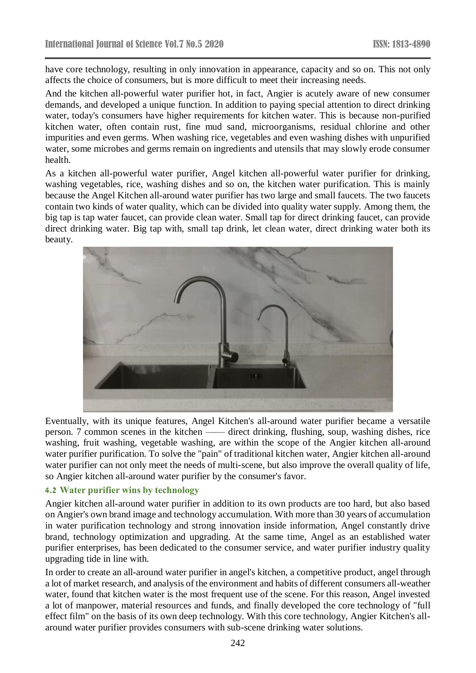have core technology, resulting in only innovation in appearance, capacity and so on. This not only affects the choice of consumers, but is more difficult to meet their increasing needs.

And the kitchen all-powerful water purifier hot, in fact, Angier is acutely aware of new consumer demands, and developed a unique function. In addition to paying special attention to direct drinking water, today's consumers have higher requirements for kitchen water. This is because non-purified kitchen water, often contain rust, fine mud sand, microorganisms, residual chlorine and other impurities and even germs. When washing rice, vegetables and even washing dishes with unpurified water, some microbes and germs remain on ingredients and utensils that may slowly erode consumer health.

As a kitchen all-powerful water purifier, Angel kitchen all-powerful water purifier for drinking, washing vegetables, rice, washing dishes and so on, the kitchen water purification. This is mainly because the Angel Kitchen all-around water purifier has two large and small faucets. The two faucets contain two kinds of water quality, which can be divided into quality water supply. Among them, the big tap is tap water faucet, can provide clean water. Small tap for direct drinking faucet, can provide direct drinking water. Big tap with, small tap drink, let clean water, direct drinking water both its beauty.



Eventually, with its unique features, Angel Kitchen's all-around water purifier became a versatile person. 7 common scenes in the kitchen —— direct drinking, flushing, soup, washing dishes, rice washing, fruit washing, vegetable washing, are within the scope of the Angier kitchen all-around water purifier purification. To solve the "pain" of traditional kitchen water, Angier kitchen all-around water purifier can not only meet the needs of multi-scene, but also improve the overall quality of life, so Angier kitchen all-around water purifier by the consumer's favor.

#### **4.2 Water purifier wins by technology**

Angier kitchen all-around water purifier in addition to its own products are too hard, but also based on Angier's own brand image and technology accumulation. With more than 30 years of accumulation in water purification technology and strong innovation inside information, Angel constantly drive brand, technology optimization and upgrading. At the same time, Angel as an established water purifier enterprises, has been dedicated to the consumer service, and water purifier industry quality upgrading tide in line with.

In order to create an all-around water purifier in angel's kitchen, a competitive product, angel through a lot of market research, and analysis of the environment and habits of different consumers all-weather water, found that kitchen water is the most frequent use of the scene. For this reason, Angel invested a lot of manpower, material resources and funds, and finally developed the core technology of "full effect film" on the basis of its own deep technology. With this core technology, Angier Kitchen's allaround water purifier provides consumers with sub-scene drinking water solutions.